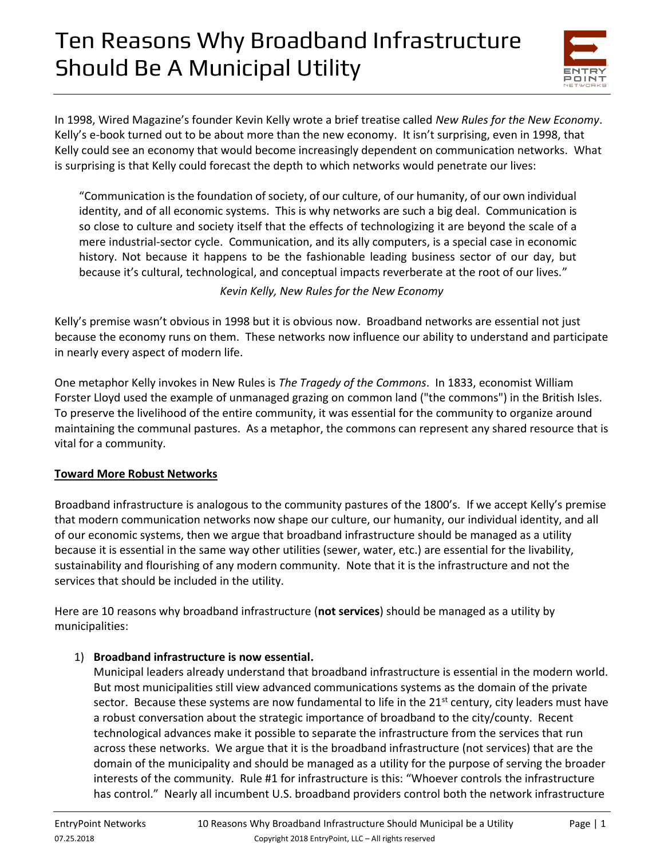

In 1998, Wired Magazine's founder Kevin Kelly wrote a brief treatise called *New Rules for the New Economy*. Kelly's e-book turned out to be about more than the new economy. It isn't surprising, even in 1998, that Kelly could see an economy that would become increasingly dependent on communication networks. What is surprising is that Kelly could forecast the depth to which networks would penetrate our lives:

"Communication is the foundation of society, of our culture, of our humanity, of our own individual identity, and of all economic systems. This is why networks are such a big deal. Communication is so close to culture and society itself that the effects of technologizing it are beyond the scale of a mere industrial-sector cycle. Communication, and its ally computers, is a special case in economic history. Not because it happens to be the fashionable leading business sector of our day, but because it's cultural, technological, and conceptual impacts reverberate at the root of our lives."

### *Kevin Kelly, New Rules for the New Economy*

Kelly's premise wasn't obvious in 1998 but it is obvious now. Broadband networks are essential not just because the economy runs on them. These networks now influence our ability to understand and participate in nearly every aspect of modern life.

One metaphor Kelly invokes in New Rules is *The Tragedy of the Commons*. In 1833, economist William Forster Lloyd used the example of unmanaged grazing on common land ("the commons") in the British Isles. To preserve the livelihood of the entire community, it was essential for the community to organize around maintaining the communal pastures. As a metaphor, the commons can represent any shared resource that is vital for a community.

#### **Toward More Robust Networks**

Broadband infrastructure is analogous to the community pastures of the 1800's. If we accept Kelly's premise that modern communication networks now shape our culture, our humanity, our individual identity, and all of our economic systems, then we argue that broadband infrastructure should be managed as a utility because it is essential in the same way other utilities (sewer, water, etc.) are essential for the livability, sustainability and flourishing of any modern community. Note that it is the infrastructure and not the services that should be included in the utility.

Here are 10 reasons why broadband infrastructure (**not services**) should be managed as a utility by municipalities:

### 1) **Broadband infrastructure is now essential.**

Municipal leaders already understand that broadband infrastructure is essential in the modern world. But most municipalities still view advanced communications systems as the domain of the private sector. Because these systems are now fundamental to life in the 21<sup>st</sup> century, city leaders must have a robust conversation about the strategic importance of broadband to the city/county. Recent technological advances make it possible to separate the infrastructure from the services that run across these networks. We argue that it is the broadband infrastructure (not services) that are the domain of the municipality and should be managed as a utility for the purpose of serving the broader interests of the community. Rule #1 for infrastructure is this: "Whoever controls the infrastructure has control." Nearly all incumbent U.S. broadband providers control both the network infrastructure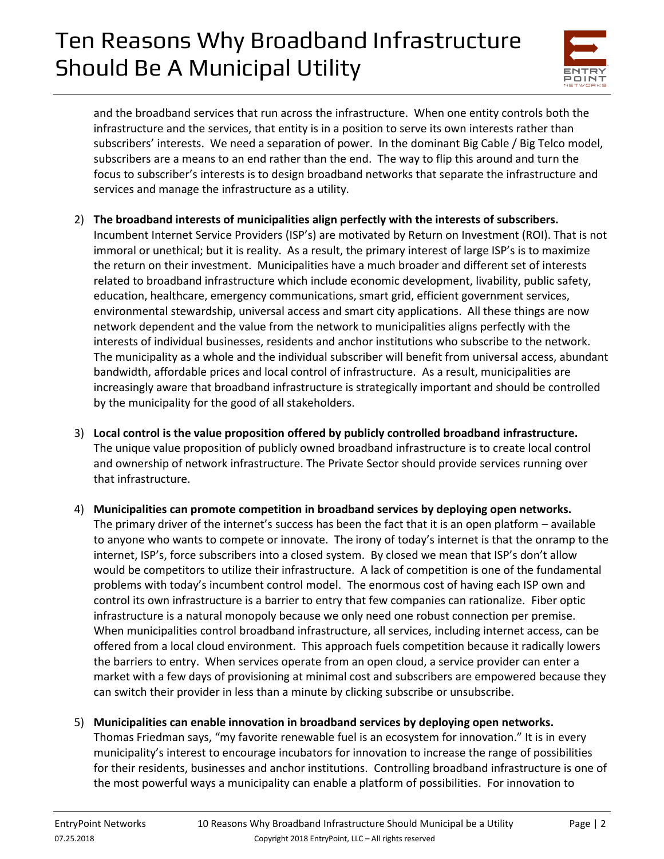

and the broadband services that run across the infrastructure. When one entity controls both the infrastructure and the services, that entity is in a position to serve its own interests rather than subscribers' interests. We need a separation of power. In the dominant Big Cable / Big Telco model, subscribers are a means to an end rather than the end. The way to flip this around and turn the focus to subscriber's interests is to design broadband networks that separate the infrastructure and services and manage the infrastructure as a utility.

- 2) **The broadband interests of municipalities align perfectly with the interests of subscribers.**  Incumbent Internet Service Providers (ISP's) are motivated by Return on Investment (ROI). That is not immoral or unethical; but it is reality. As a result, the primary interest of large ISP's is to maximize the return on their investment. Municipalities have a much broader and different set of interests related to broadband infrastructure which include economic development, livability, public safety, education, healthcare, emergency communications, smart grid, efficient government services, environmental stewardship, universal access and smart city applications. All these things are now network dependent and the value from the network to municipalities aligns perfectly with the interests of individual businesses, residents and anchor institutions who subscribe to the network. The municipality as a whole and the individual subscriber will benefit from universal access, abundant bandwidth, affordable prices and local control of infrastructure. As a result, municipalities are increasingly aware that broadband infrastructure is strategically important and should be controlled by the municipality for the good of all stakeholders.
- 3) **Local control is the value proposition offered by publicly controlled broadband infrastructure.**  The unique value proposition of publicly owned broadband infrastructure is to create local control and ownership of network infrastructure. The Private Sector should provide services running over that infrastructure.
- 4) **Municipalities can promote competition in broadband services by deploying open networks.**  The primary driver of the internet's success has been the fact that it is an open platform – available to anyone who wants to compete or innovate. The irony of today's internet is that the onramp to the internet, ISP's, force subscribers into a closed system. By closed we mean that ISP's don't allow would be competitors to utilize their infrastructure. A lack of competition is one of the fundamental problems with today's incumbent control model. The enormous cost of having each ISP own and control its own infrastructure is a barrier to entry that few companies can rationalize. Fiber optic infrastructure is a natural monopoly because we only need one robust connection per premise. When municipalities control broadband infrastructure, all services, including internet access, can be offered from a local cloud environment. This approach fuels competition because it radically lowers the barriers to entry. When services operate from an open cloud, a service provider can enter a market with a few days of provisioning at minimal cost and subscribers are empowered because they can switch their provider in less than a minute by clicking subscribe or unsubscribe.
- 5) **Municipalities can enable innovation in broadband services by deploying open networks.** Thomas Friedman says, "my favorite renewable fuel is an ecosystem for innovation." It is in every municipality's interest to encourage incubators for innovation to increase the range of possibilities for their residents, businesses and anchor institutions. Controlling broadband infrastructure is one of the most powerful ways a municipality can enable a platform of possibilities. For innovation to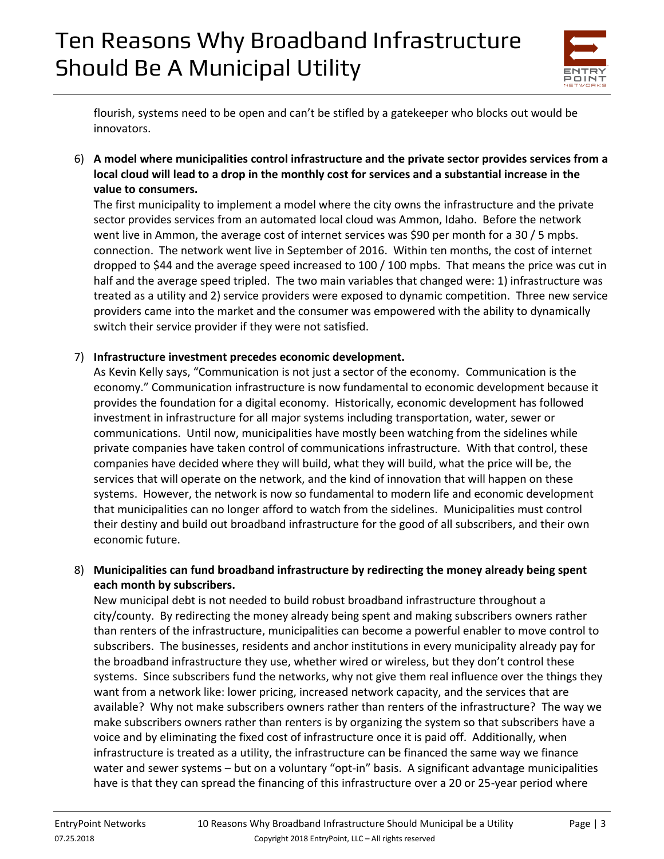

flourish, systems need to be open and can't be stifled by a gatekeeper who blocks out would be innovators.

6) **A model where municipalities control infrastructure and the private sector provides services from a local cloud will lead to a drop in the monthly cost for services and a substantial increase in the value to consumers.** 

The first municipality to implement a model where the city owns the infrastructure and the private sector provides services from an automated local cloud was Ammon, Idaho. Before the network went live in Ammon, the average cost of internet services was \$90 per month for a 30 / 5 mpbs. connection. The network went live in September of 2016. Within ten months, the cost of internet dropped to \$44 and the average speed increased to 100 / 100 mpbs. That means the price was cut in half and the average speed tripled. The two main variables that changed were: 1) infrastructure was treated as a utility and 2) service providers were exposed to dynamic competition. Three new service providers came into the market and the consumer was empowered with the ability to dynamically switch their service provider if they were not satisfied.

#### 7) **Infrastructure investment precedes economic development.**

As Kevin Kelly says, "Communication is not just a sector of the economy. Communication is the economy." Communication infrastructure is now fundamental to economic development because it provides the foundation for a digital economy. Historically, economic development has followed investment in infrastructure for all major systems including transportation, water, sewer or communications. Until now, municipalities have mostly been watching from the sidelines while private companies have taken control of communications infrastructure. With that control, these companies have decided where they will build, what they will build, what the price will be, the services that will operate on the network, and the kind of innovation that will happen on these systems. However, the network is now so fundamental to modern life and economic development that municipalities can no longer afford to watch from the sidelines. Municipalities must control their destiny and build out broadband infrastructure for the good of all subscribers, and their own economic future.

### 8) **Municipalities can fund broadband infrastructure by redirecting the money already being spent each month by subscribers.**

New municipal debt is not needed to build robust broadband infrastructure throughout a city/county. By redirecting the money already being spent and making subscribers owners rather than renters of the infrastructure, municipalities can become a powerful enabler to move control to subscribers. The businesses, residents and anchor institutions in every municipality already pay for the broadband infrastructure they use, whether wired or wireless, but they don't control these systems. Since subscribers fund the networks, why not give them real influence over the things they want from a network like: lower pricing, increased network capacity, and the services that are available? Why not make subscribers owners rather than renters of the infrastructure? The way we make subscribers owners rather than renters is by organizing the system so that subscribers have a voice and by eliminating the fixed cost of infrastructure once it is paid off. Additionally, when infrastructure is treated as a utility, the infrastructure can be financed the same way we finance water and sewer systems – but on a voluntary "opt-in" basis. A significant advantage municipalities have is that they can spread the financing of this infrastructure over a 20 or 25-year period where